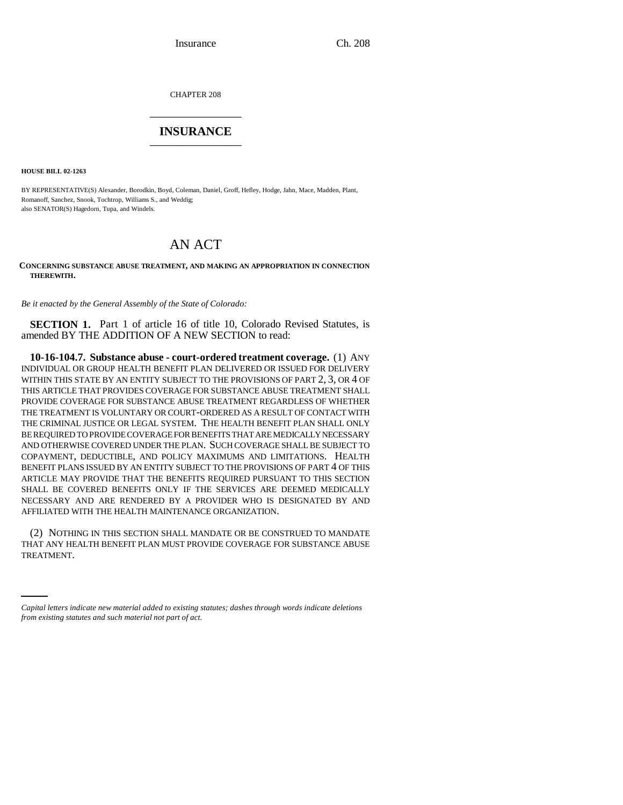Insurance Ch. 208

CHAPTER 208 \_\_\_\_\_\_\_\_\_\_\_\_\_\_\_

## **INSURANCE** \_\_\_\_\_\_\_\_\_\_\_\_\_\_\_

**HOUSE BILL 02-1263**

BY REPRESENTATIVE(S) Alexander, Borodkin, Boyd, Coleman, Daniel, Groff, Hefley, Hodge, Jahn, Mace, Madden, Plant, Romanoff, Sanchez, Snook, Tochtrop, Williams S., and Weddig; also SENATOR(S) Hagedorn, Tupa, and Windels.

## AN ACT

**CONCERNING SUBSTANCE ABUSE TREATMENT, AND MAKING AN APPROPRIATION IN CONNECTION THEREWITH.**

*Be it enacted by the General Assembly of the State of Colorado:*

**SECTION 1.** Part 1 of article 16 of title 10, Colorado Revised Statutes, is amended BY THE ADDITION OF A NEW SECTION to read:

**10-16-104.7. Substance abuse - court-ordered treatment coverage.** (1) ANY INDIVIDUAL OR GROUP HEALTH BENEFIT PLAN DELIVERED OR ISSUED FOR DELIVERY WITHIN THIS STATE BY AN ENTITY SUBJECT TO THE PROVISIONS OF PART 2, 3, OR 4 OF THIS ARTICLE THAT PROVIDES COVERAGE FOR SUBSTANCE ABUSE TREATMENT SHALL PROVIDE COVERAGE FOR SUBSTANCE ABUSE TREATMENT REGARDLESS OF WHETHER THE TREATMENT IS VOLUNTARY OR COURT-ORDERED AS A RESULT OF CONTACT WITH THE CRIMINAL JUSTICE OR LEGAL SYSTEM. THE HEALTH BENEFIT PLAN SHALL ONLY BE REQUIRED TO PROVIDE COVERAGE FOR BENEFITS THAT ARE MEDICALLY NECESSARY AND OTHERWISE COVERED UNDER THE PLAN. SUCH COVERAGE SHALL BE SUBJECT TO COPAYMENT, DEDUCTIBLE, AND POLICY MAXIMUMS AND LIMITATIONS. HEALTH BENEFIT PLANS ISSUED BY AN ENTITY SUBJECT TO THE PROVISIONS OF PART 4 OF THIS ARTICLE MAY PROVIDE THAT THE BENEFITS REQUIRED PURSUANT TO THIS SECTION SHALL BE COVERED BENEFITS ONLY IF THE SERVICES ARE DEEMED MEDICALLY NECESSARY AND ARE RENDERED BY A PROVIDER WHO IS DESIGNATED BY AND AFFILIATED WITH THE HEALTH MAINTENANCE ORGANIZATION.

THAT ANY HEALTH BENEFIT PLAN MUST PROVIDE COVERAGE FOR SUBSTANCE ABUSE (2) NOTHING IN THIS SECTION SHALL MANDATE OR BE CONSTRUED TO MANDATE TREATMENT.

*Capital letters indicate new material added to existing statutes; dashes through words indicate deletions from existing statutes and such material not part of act.*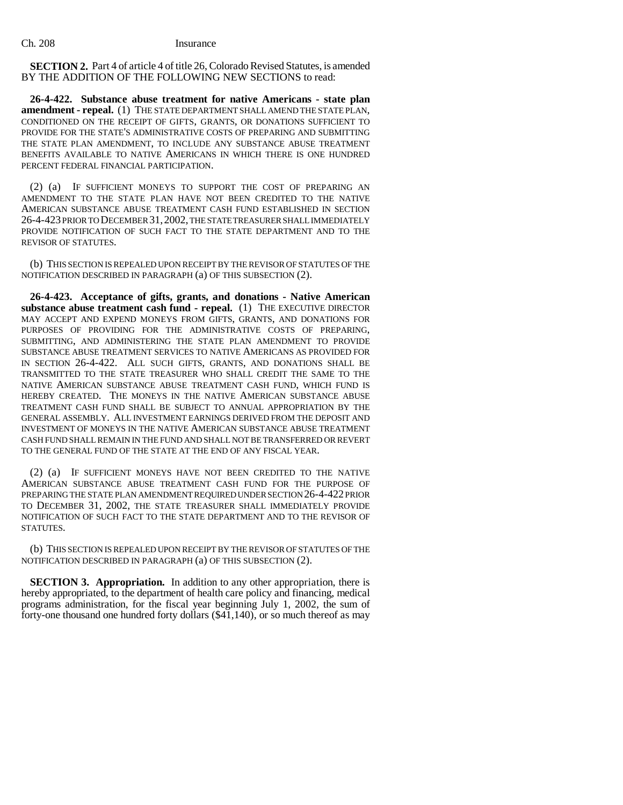**SECTION 2.** Part 4 of article 4 of title 26, Colorado Revised Statutes, is amended BY THE ADDITION OF THE FOLLOWING NEW SECTIONS to read:

**26-4-422. Substance abuse treatment for native Americans - state plan amendment - repeal.** (1) THE STATE DEPARTMENT SHALL AMEND THE STATE PLAN, CONDITIONED ON THE RECEIPT OF GIFTS, GRANTS, OR DONATIONS SUFFICIENT TO PROVIDE FOR THE STATE'S ADMINISTRATIVE COSTS OF PREPARING AND SUBMITTING THE STATE PLAN AMENDMENT, TO INCLUDE ANY SUBSTANCE ABUSE TREATMENT BENEFITS AVAILABLE TO NATIVE AMERICANS IN WHICH THERE IS ONE HUNDRED PERCENT FEDERAL FINANCIAL PARTICIPATION.

(2) (a) IF SUFFICIENT MONEYS TO SUPPORT THE COST OF PREPARING AN AMENDMENT TO THE STATE PLAN HAVE NOT BEEN CREDITED TO THE NATIVE AMERICAN SUBSTANCE ABUSE TREATMENT CASH FUND ESTABLISHED IN SECTION 26-4-423 PRIOR TO DECEMBER 31,2002, THE STATE TREASURER SHALL IMMEDIATELY PROVIDE NOTIFICATION OF SUCH FACT TO THE STATE DEPARTMENT AND TO THE REVISOR OF STATUTES.

(b) THIS SECTION IS REPEALED UPON RECEIPT BY THE REVISOR OF STATUTES OF THE NOTIFICATION DESCRIBED IN PARAGRAPH (a) OF THIS SUBSECTION (2).

**26-4-423. Acceptance of gifts, grants, and donations - Native American** substance abuse treatment cash fund - repeal. (1) THE EXECUTIVE DIRECTOR MAY ACCEPT AND EXPEND MONEYS FROM GIFTS, GRANTS, AND DONATIONS FOR PURPOSES OF PROVIDING FOR THE ADMINISTRATIVE COSTS OF PREPARING, SUBMITTING, AND ADMINISTERING THE STATE PLAN AMENDMENT TO PROVIDE SUBSTANCE ABUSE TREATMENT SERVICES TO NATIVE AMERICANS AS PROVIDED FOR IN SECTION 26-4-422. ALL SUCH GIFTS, GRANTS, AND DONATIONS SHALL BE TRANSMITTED TO THE STATE TREASURER WHO SHALL CREDIT THE SAME TO THE NATIVE AMERICAN SUBSTANCE ABUSE TREATMENT CASH FUND, WHICH FUND IS HEREBY CREATED. THE MONEYS IN THE NATIVE AMERICAN SUBSTANCE ABUSE TREATMENT CASH FUND SHALL BE SUBJECT TO ANNUAL APPROPRIATION BY THE GENERAL ASSEMBLY. ALL INVESTMENT EARNINGS DERIVED FROM THE DEPOSIT AND INVESTMENT OF MONEYS IN THE NATIVE AMERICAN SUBSTANCE ABUSE TREATMENT CASH FUND SHALL REMAIN IN THE FUND AND SHALL NOT BE TRANSFERRED OR REVERT TO THE GENERAL FUND OF THE STATE AT THE END OF ANY FISCAL YEAR.

(2) (a) IF SUFFICIENT MONEYS HAVE NOT BEEN CREDITED TO THE NATIVE AMERICAN SUBSTANCE ABUSE TREATMENT CASH FUND FOR THE PURPOSE OF PREPARING THE STATE PLAN AMENDMENT REQUIRED UNDER SECTION 26-4-422 PRIOR TO DECEMBER 31, 2002, THE STATE TREASURER SHALL IMMEDIATELY PROVIDE NOTIFICATION OF SUCH FACT TO THE STATE DEPARTMENT AND TO THE REVISOR OF STATUTES.

(b) THIS SECTION IS REPEALED UPON RECEIPT BY THE REVISOR OF STATUTES OF THE NOTIFICATION DESCRIBED IN PARAGRAPH (a) OF THIS SUBSECTION (2).

**SECTION 3. Appropriation.** In addition to any other appropriation, there is hereby appropriated, to the department of health care policy and financing, medical programs administration, for the fiscal year beginning July 1, 2002, the sum of forty-one thousand one hundred forty dollars (\$41,140), or so much thereof as may